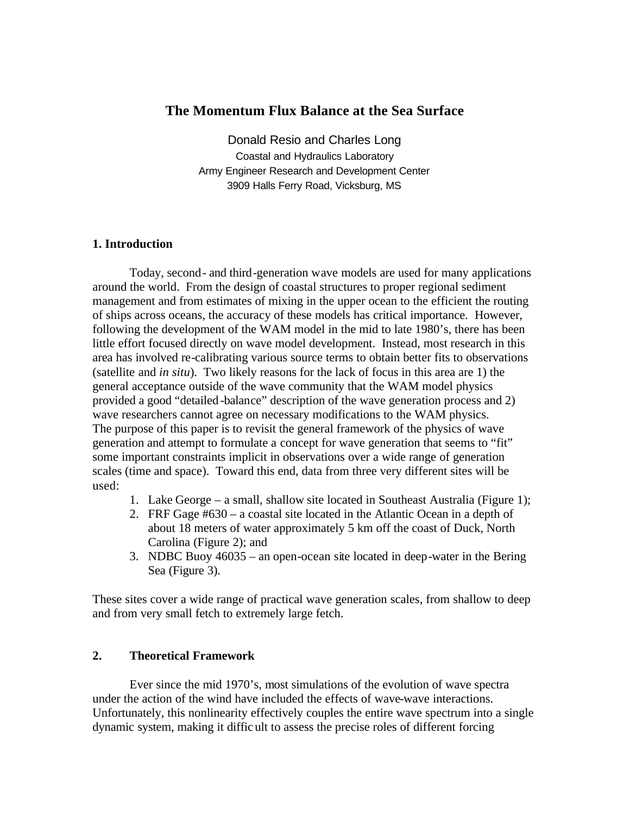# **The Momentum Flux Balance at the Sea Surface**

Donald Resio and Charles Long Coastal and Hydraulics Laboratory Army Engineer Research and Development Center 3909 Halls Ferry Road, Vicksburg, MS

# **1. Introduction**

Today, second- and third-generation wave models are used for many applications around the world. From the design of coastal structures to proper regional sediment management and from estimates of mixing in the upper ocean to the efficient the routing of ships across oceans, the accuracy of these models has critical importance. However, following the development of the WAM model in the mid to late 1980's, there has been little effort focused directly on wave model development. Instead, most research in this area has involved re-calibrating various source terms to obtain better fits to observations (satellite and *in situ*). Two likely reasons for the lack of focus in this area are 1) the general acceptance outside of the wave community that the WAM model physics provided a good "detailed -balance" description of the wave generation process and 2) wave researchers cannot agree on necessary modifications to the WAM physics. The purpose of this paper is to revisit the general framework of the physics of wave generation and attempt to formulate a concept for wave generation that seems to "fit" some important constraints implicit in observations over a wide range of generation scales (time and space). Toward this end, data from three very different sites will be used:

- 1. Lake George a small, shallow site located in Southeast Australia (Figure 1);
- 2. FRF Gage #630 a coastal site located in the Atlantic Ocean in a depth of about 18 meters of water approximately 5 km off the coast of Duck, North Carolina (Figure 2); and
- 3. NDBC Buoy 46035 an open-ocean site located in deep-water in the Bering Sea (Figure 3).

These sites cover a wide range of practical wave generation scales, from shallow to deep and from very small fetch to extremely large fetch.

# **2. Theoretical Framework**

Ever since the mid 1970's, most simulations of the evolution of wave spectra under the action of the wind have included the effects of wave-wave interactions. Unfortunately, this nonlinearity effectively couples the entire wave spectrum into a single dynamic system, making it diffic ult to assess the precise roles of different forcing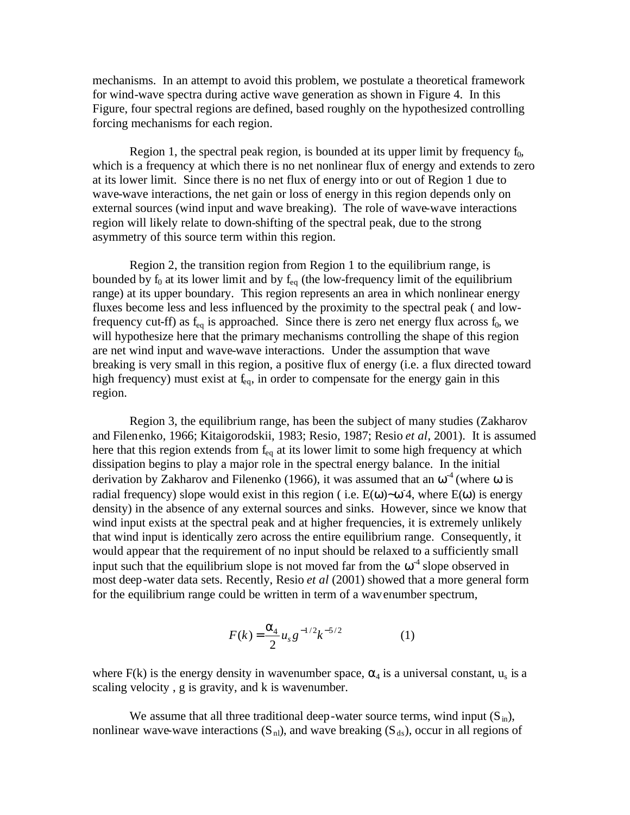mechanisms. In an attempt to avoid this problem, we postulate a theoretical framework for wind-wave spectra during active wave generation as shown in Figure 4. In this Figure, four spectral regions are defined, based roughly on the hypothesized controlling forcing mechanisms for each region.

Region 1, the spectral peak region, is bounded at its upper limit by frequency  $f_0$ , which is a frequency at which there is no net nonlinear flux of energy and extends to zero at its lower limit. Since there is no net flux of energy into or out of Region 1 due to wave-wave interactions, the net gain or loss of energy in this region depends only on external sources (wind input and wave breaking). The role of wave-wave interactions region will likely relate to down-shifting of the spectral peak, due to the strong asymmetry of this source term within this region.

Region 2, the transition region from Region 1 to the equilibrium range, is bounded by  $f_0$  at its lower limit and by  $f_{eq}$  (the low-frequency limit of the equilibrium range) at its upper boundary. This region represents an area in which nonlinear energy fluxes become less and less influenced by the proximity to the spectral peak ( and lowfrequency cut-ff) as  $f_{eq}$  is approached. Since there is zero net energy flux across  $f_0$ , we will hypothesize here that the primary mechanisms controlling the shape of this region are net wind input and wave-wave interactions. Under the assumption that wave breaking is very small in this region, a positive flux of energy (i.e. a flux directed toward high frequency) must exist at  $f_{eq}$ , in order to compensate for the energy gain in this region.

Region 3, the equilibrium range, has been the subject of many studies (Zakharov and Filenenko, 1966; Kitaigorodskii, 1983; Resio, 1987; Resio *et al*, 2001). It is assumed here that this region extends from  $f_{eq}$  at its lower limit to some high frequency at which dissipation begins to play a major role in the spectral energy balance. In the initial derivation by Zakharov and Filenenko (1966), it was assumed that an  $\omega^4$  (where  $\omega$  is radial frequency) slope would exist in this region ( i.e.  $E(\omega)$ ~ $\omega$  4, where  $E(\omega)$  is energy density) in the absence of any external sources and sinks. However, since we know that wind input exists at the spectral peak and at higher frequencies, it is extremely unlikely that wind input is identically zero across the entire equilibrium range. Consequently, it would appear that the requirement of no input should be relaxed to a sufficiently small input such that the equilibrium slope is not moved far from the  $\omega^4$  slope observed in most deep-water data sets. Recently, Resio *et al* (2001) showed that a more general form for the equilibrium range could be written in term of a wavenumber spectrum,

$$
F(k) = \frac{a_4}{2} u_s g^{-1/2} k^{-5/2}
$$
 (1)

where  $F(k)$  is the energy density in wavenumber space,  $\alpha_4$  is a universal constant,  $u_s$  is a scaling velocity , g is gravity, and k is wavenumber.

We assume that all three traditional deep-water source terms, wind input  $(S_{in})$ , nonlinear wave-wave interactions  $(S_{nl})$ , and wave breaking  $(S_{ds})$ , occur in all regions of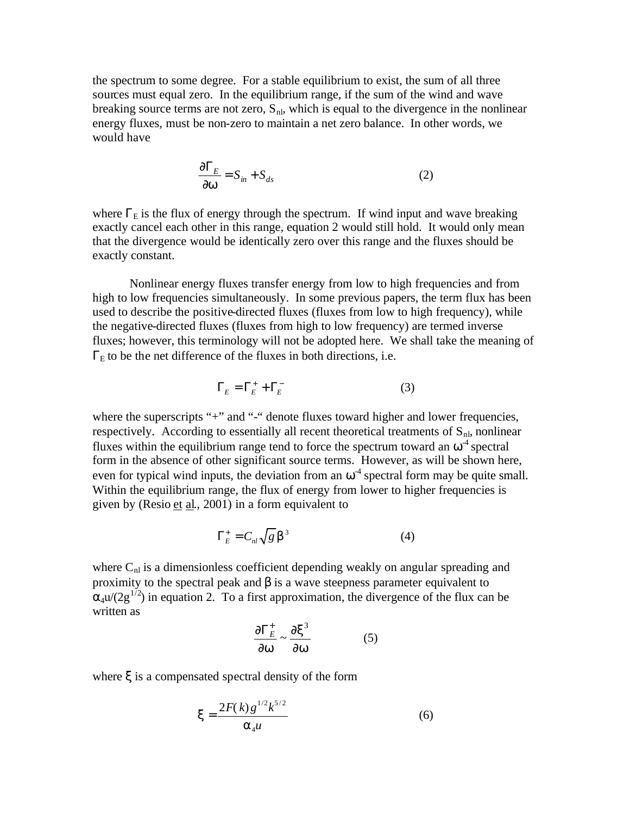the spectrum to some degree. For a stable equilibrium to exist, the sum of all three sources must equal zero. In the equilibrium range, if the sum of the wind and wave breaking source terms are not zero,  $S<sub>nl</sub>$ , which is equal to the divergence in the nonlinear energy fluxes, must be non-zero to maintain a net zero balance. In other words, we would have

$$
\frac{\partial \Gamma_E}{\partial \mathbf{w}} = S_{in} + S_{ds} \tag{2}
$$

where  $\Gamma_{\rm E}$  is the flux of energy through the spectrum. If wind input and wave breaking exactly cancel each other in this range, equation 2 would still hold. It would only mean that the divergence would be identically zero over this range and the fluxes should be exactly constant.

Nonlinear energy fluxes transfer energy from low to high frequencies and from high to low frequencies simultaneously. In some previous papers, the term flux has been used to describe the positive-directed fluxes (fluxes from low to high frequency), while the negative-directed fluxes (fluxes from high to low frequency) are termed inverse fluxes; however, this terminology will not be adopted here. We shall take the meaning of  $\Gamma_{\rm E}$  to be the net difference of the fluxes in both directions, i.e.

$$
\Gamma_E = \Gamma_E^+ + \Gamma_E^- \tag{3}
$$

where the superscripts "+" and "-" denote fluxes toward higher and lower frequencies, respectively. According to essentially all recent theoretical treatments of  $S_{n}$ , nonlinear fluxes within the equilibrium range tend to force the spectrum toward an  $\omega^4$  spectral form in the absence of other significant source terms. However, as will be shown here, even for typical wind inputs, the deviation from an  $\omega^4$  spectral form may be quite small. Within the equilibrium range, the flux of energy from lower to higher frequencies is given by (Resio et al., 2001) in a form equivalent to

$$
\Gamma_E^+ = C_{nl} \sqrt{g} \, \mathbf{b}^3 \tag{4}
$$

where  $C_{nl}$  is a dimensionless coefficient depending weakly on angular spreading and proximity to the spectral peak and  $\beta$  is a wave steepness parameter equivalent to  $\alpha_4 u/(2g^{1/2})$  in equation 2. To a first approximation, the divergence of the flux can be written as

$$
\frac{\partial \Gamma_E^+}{\partial w} \sim \frac{\partial x^3}{\partial w} \tag{5}
$$

where ξ is a compensated spectral density of the form

$$
\mathbf{x} = \frac{2F(k)g^{1/2}k^{5/2}}{\mathbf{a}_4 u}
$$
 (6)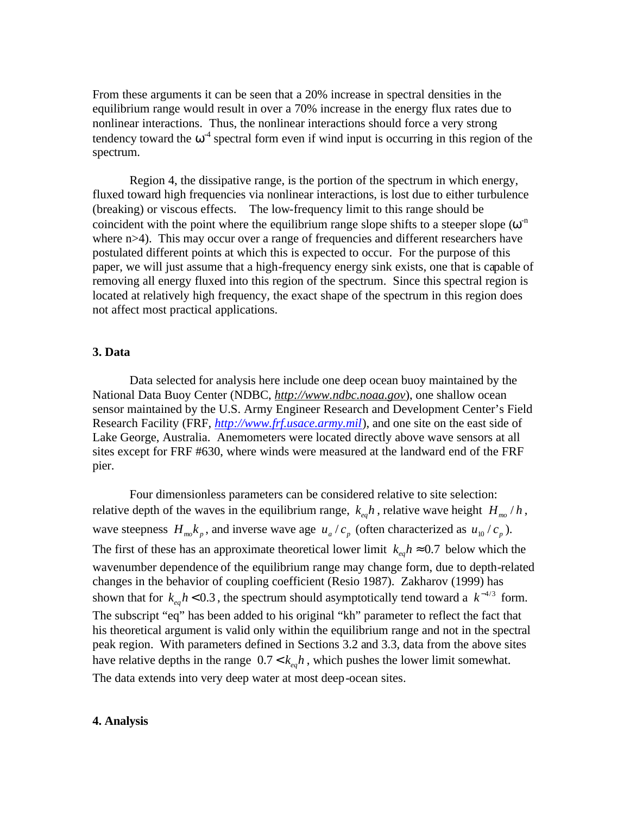From these arguments it can be seen that a 20% increase in spectral densities in the equilibrium range would result in over a 70% increase in the energy flux rates due to nonlinear interactions. Thus, the nonlinear interactions should force a very strong tendency toward the  $\omega^4$  spectral form even if wind input is occurring in this region of the spectrum.

Region 4, the dissipative range, is the portion of the spectrum in which energy, fluxed toward high frequencies via nonlinear interactions, is lost due to either turbulence (breaking) or viscous effects. The low-frequency limit to this range should be coincident with the point where the equilibrium range slope shifts to a steeper slope  $(\omega^n)$ where n>4). This may occur over a range of frequencies and different researchers have postulated different points at which this is expected to occur. For the purpose of this paper, we will just assume that a high-frequency energy sink exists, one that is capable of removing all energy fluxed into this region of the spectrum. Since this spectral region is located at relatively high frequency, the exact shape of the spectrum in this region does not affect most practical applications.

#### **3. Data**

Data selected for analysis here include one deep ocean buoy maintained by the National Data Buoy Center (NDBC, *http://www.ndbc.noaa.gov*), one shallow ocean sensor maintained by the U.S. Army Engineer Research and Development Center's Field Research Facility (FRF, *http://www.frf.usace.army.mil*), and one site on the east side of Lake George, Australia. Anemometers were located directly above wave sensors at all sites except for FRF #630, where winds were measured at the landward end of the FRF pier.

Four dimensionless parameters can be considered relative to site selection: relative depth of the waves in the equilibrium range,  $k_{\text{e}a}h$ , relative wave height  $H_{\text{me}}/h$ , wave steepness  $H_{m\nu} k_p$ , and inverse wave age  $u_a / c_p$  (often characterized as  $u_{10} / c_p$ ). The first of these has an approximate theoretical lower limit  $k_{e}h \approx 0.7$  below which the wavenumber dependence of the equilibrium range may change form, due to depth-related changes in the behavior of coupling coefficient (Resio 1987). Zakharov (1999) has shown that for  $k_{eq}h < 0.3$ , the spectrum should asymptotically tend toward a  $k^{-4/3}$  form. The subscript "eq" has been added to his original "kh" parameter to reflect the fact that his theoretical argument is valid only within the equilibrium range and not in the spectral peak region. With parameters defined in Sections 3.2 and 3.3, data from the above sites have relative depths in the range  $0.7 < k_{\text{e}} h$ , which pushes the lower limit somewhat. The data extends into very deep water at most deep-ocean sites.

### **4. Analysis**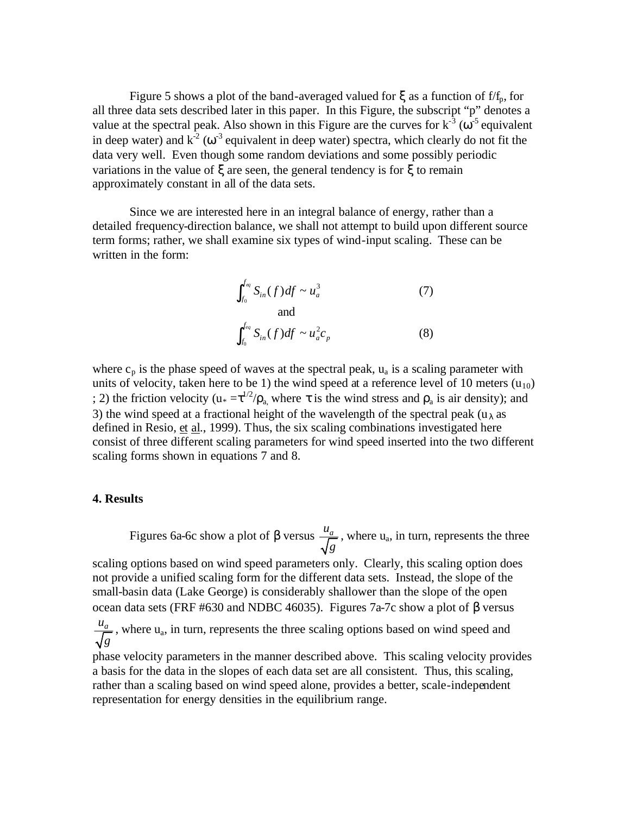Figure 5 shows a plot of the band-averaged valued for  $\xi$  as a function of f/f<sub>p</sub>, for all three data sets described later in this paper. In this Figure, the subscript "p" denotes a value at the spectral peak. Also shown in this Figure are the curves for  $k^{-3}$  ( $\omega^{-5}$  equivalent in deep water) and  $k^2$  ( $\omega^3$  equivalent in deep water) spectra, which clearly do not fit the data very well. Even though some random deviations and some possibly periodic variations in the value of ξ are seen, the general tendency is for ξ to remain approximately constant in all of the data sets.

Since we are interested here in an integral balance of energy, rather than a detailed frequency-direction balance, we shall not attempt to build upon different source term forms; rather, we shall examine six types of wind-input scaling. These can be written in the form:

$$
\int_{f_0}^{f_{eq}} S_{in}(f) df \sim u_a^3
$$
 (7)  
and  

$$
\int_{f_0}^{f_{eq}} S_{in}(f) df \sim u_a^2 c_p
$$
 (8)

where  $c_p$  is the phase speed of waves at the spectral peak,  $u_a$  is a scaling parameter with units of velocity, taken here to be 1) the wind speed at a reference level of 10 meters  $(u_{10})$ ; 2) the friction velocity ( $u_* = \tau^{1/2}/\rho_a$ , where  $\tau$  is the wind stress and  $\rho_a$  is air density); and 3) the wind speed at a fractional height of the wavelength of the spectral peak ( $u_{\lambda}$  as defined in Resio,  $et al.$ , 1999). Thus, the six scaling combinations investigated here</u> consist of three different scaling parameters for wind speed inserted into the two different scaling forms shown in equations 7 and 8.

### **4. Results**

Figures 6a-6c show a plot of β versus  $\frac{u_a}{\epsilon}$ *g* , where u<sup>a</sup> , in turn, represents the three

scaling options based on wind speed parameters only. Clearly, this scaling option does not provide a unified scaling form for the different data sets. Instead, the slope of the small-basin data (Lake George) is considerably shallower than the slope of the open ocean data sets (FRF #630 and NDBC 46035). Figures 7a-7c show a plot of β versus

*a u g* , where u<sup>a</sup> , in turn, represents the three scaling options based on wind speed and

phase velocity parameters in the manner described above. This scaling velocity provides a basis for the data in the slopes of each data set are all consistent. Thus, this scaling, rather than a scaling based on wind speed alone, provides a better, scale-independent representation for energy densities in the equilibrium range.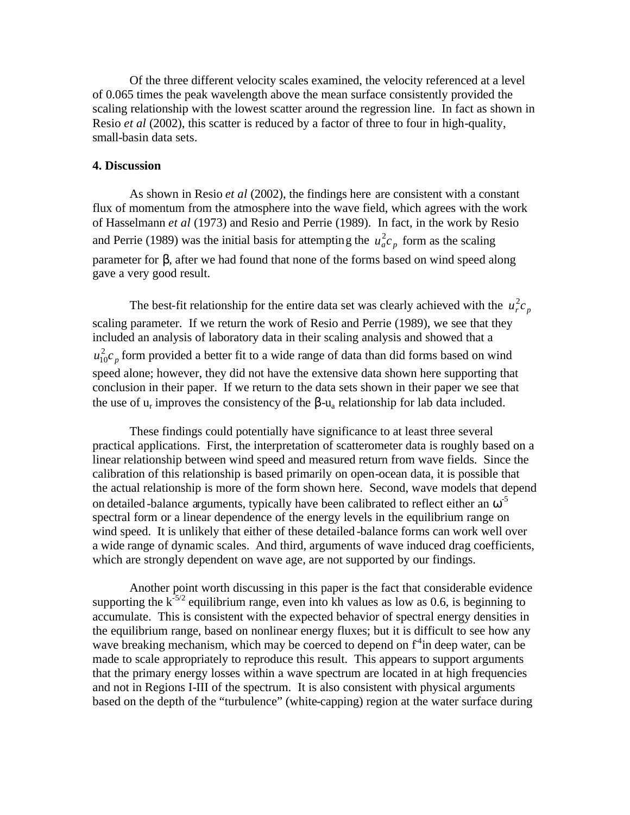Of the three different velocity scales examined, the velocity referenced at a level of 0.065 times the peak wavelength above the mean surface consistently provided the scaling relationship with the lowest scatter around the regression line. In fact as shown in Resio *et al* (2002), this scatter is reduced by a factor of three to four in high-quality, small-basin data sets.

### **4. Discussion**

As shown in Resio *et al* (2002), the findings here are consistent with a constant flux of momentum from the atmosphere into the wave field, which agrees with the work of Hasselmann *et al* (1973) and Resio and Perrie (1989). In fact, in the work by Resio and Perrie (1989) was the initial basis for attempting the  $u_a^2 c_p$  form as the scaling parameter for β, after we had found that none of the forms based on wind speed along gave a very good result.

The best-fit relationship for the entire data set was clearly achieved with the  $u_r^2 c_p$ scaling parameter. If we return the work of Resio and Perrie (1989), we see that they included an analysis of laboratory data in their scaling analysis and showed that a  $u_{10}^{2}c_{p}$  form provided a better fit to a wide range of data than did forms based on wind speed alone; however, they did not have the extensive data shown here supporting that conclusion in their paper. If we return to the data sets shown in their paper we see that the use of  $u_r$  improves the consistency of the  $\beta$ - $u_a$  relationship for lab data included.

These findings could potentially have significance to at least three several practical applications. First, the interpretation of scatterometer data is roughly based on a linear relationship between wind speed and measured return from wave fields. Since the calibration of this relationship is based primarily on open-ocean data, it is possible that the actual relationship is more of the form shown here. Second, wave models that depend on detailed -balance arguments, typically have been calibrated to reflect either an  $\omega^5$ spectral form or a linear dependence of the energy levels in the equilibrium range on wind speed. It is unlikely that either of these detailed -balance forms can work well over a wide range of dynamic scales. And third, arguments of wave induced drag coefficients, which are strongly dependent on wave age, are not supported by our findings.

Another point worth discussing in this paper is the fact that considerable evidence supporting the  $k^{-5/2}$  equilibrium range, even into kh values as low as 0.6, is beginning to accumulate. This is consistent with the expected behavior of spectral energy densities in the equilibrium range, based on nonlinear energy fluxes; but it is difficult to see how any wave breaking mechanism, which may be coerced to depend on f<sup>4</sup> in deep water, can be made to scale appropriately to reproduce this result. This appears to support arguments that the primary energy losses within a wave spectrum are located in at high frequencies and not in Regions I-III of the spectrum. It is also consistent with physical arguments based on the depth of the "turbulence" (white-capping) region at the water surface during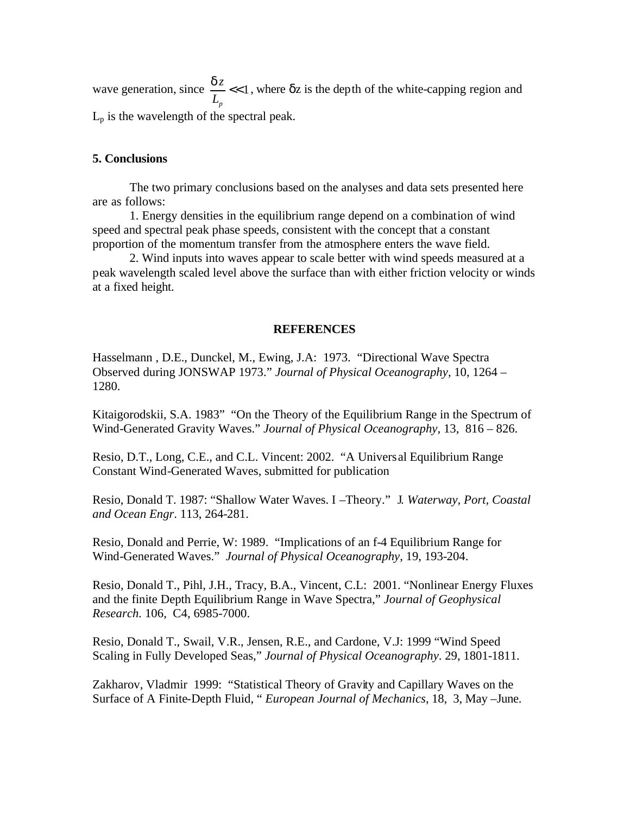wave generation, since  $\frac{u}{\epsilon}$  <<1 *p z L*  $\frac{dz}{z}$  << 1, where  $\delta z$  is the depth of the white-capping region and  $L_p$  is the wavelength of the spectral peak.

# **5. Conclusions**

The two primary conclusions based on the analyses and data sets presented here are as follows:

1. Energy densities in the equilibrium range depend on a combination of wind speed and spectral peak phase speeds, consistent with the concept that a constant proportion of the momentum transfer from the atmosphere enters the wave field.

2. Wind inputs into waves appear to scale better with wind speeds measured at a peak wavelength scaled level above the surface than with either friction velocity or winds at a fixed height.

#### **REFERENCES**

Hasselmann , D.E., Dunckel, M., Ewing, J.A: 1973. "Directional Wave Spectra Observed during JONSWAP 1973." *Journal of Physical Oceanography*, 10, 1264 – 1280.

Kitaigorodskii, S.A. 1983" "On the Theory of the Equilibrium Range in the Spectrum of Wind-Generated Gravity Waves." *Journal of Physical Oceanography,* 13, 816 – 826.

Resio, D.T., Long, C.E., and C.L. Vincent: 2002. "A Universal Equilibrium Range Constant Wind-Generated Waves, submitted for publication

Resio, Donald T. 1987: "Shallow Water Waves. I –Theory." J*. Waterway, Port, Coastal and Ocean Engr*. 113, 264-281.

Resio, Donald and Perrie, W: 1989. "Implications of an f-4 Equilibrium Range for Wind-Generated Waves." *Journal of Physical Oceanography*, 19, 193-204.

Resio, Donald T., Pihl, J.H., Tracy, B.A., Vincent, C.L: 2001. "Nonlinear Energy Fluxes and the finite Depth Equilibrium Range in Wave Spectra," *Journal of Geophysical Research.* 106, C4, 6985-7000.

Resio, Donald T., Swail, V.R., Jensen, R.E., and Cardone, V.J: 1999 "Wind Speed Scaling in Fully Developed Seas," *Journal of Physical Oceanography*. 29, 1801-1811.

Zakharov, Vladmir 1999: "Statistical Theory of Gravity and Capillary Waves on the Surface of A Finite-Depth Fluid, " *European Journal of Mechanics*, 18, 3, May –June.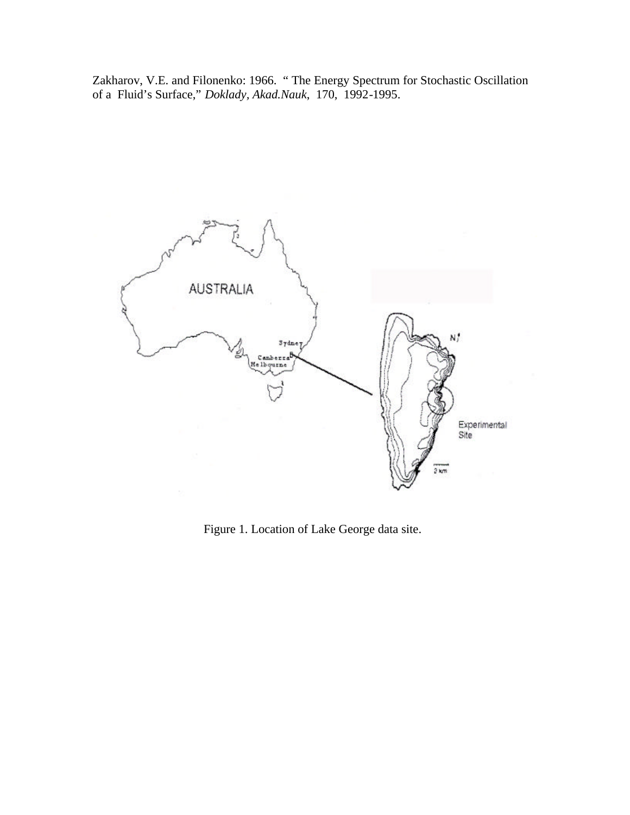Zakharov, V.E. and Filonenko: 1966. " The Energy Spectrum for Stochastic Oscillation of a Fluid's Surface," *Doklady, Akad.Nauk*, 170, 1992-1995.



Figure 1. Location of Lake George data site.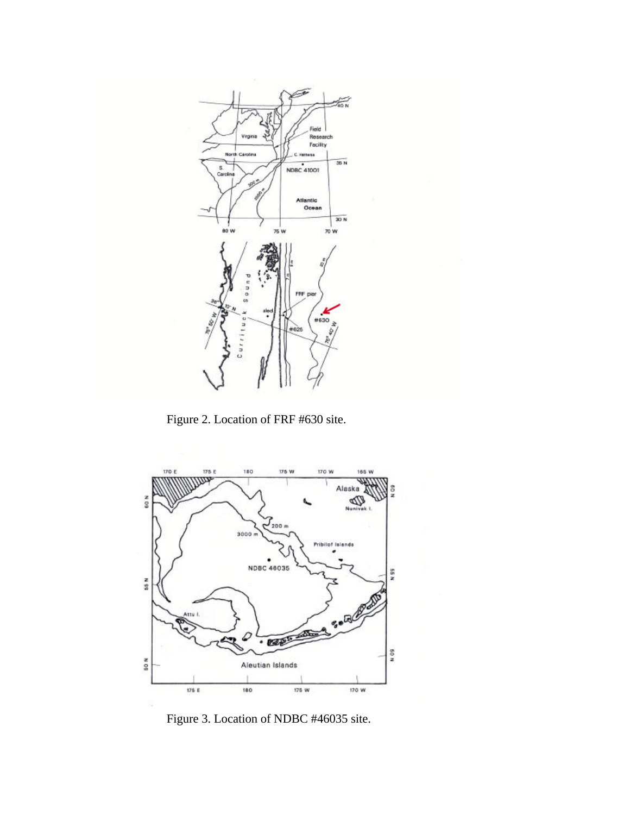

Figure 2. Location of FRF #630 site.



Figure 3. Location of NDBC #46035 site.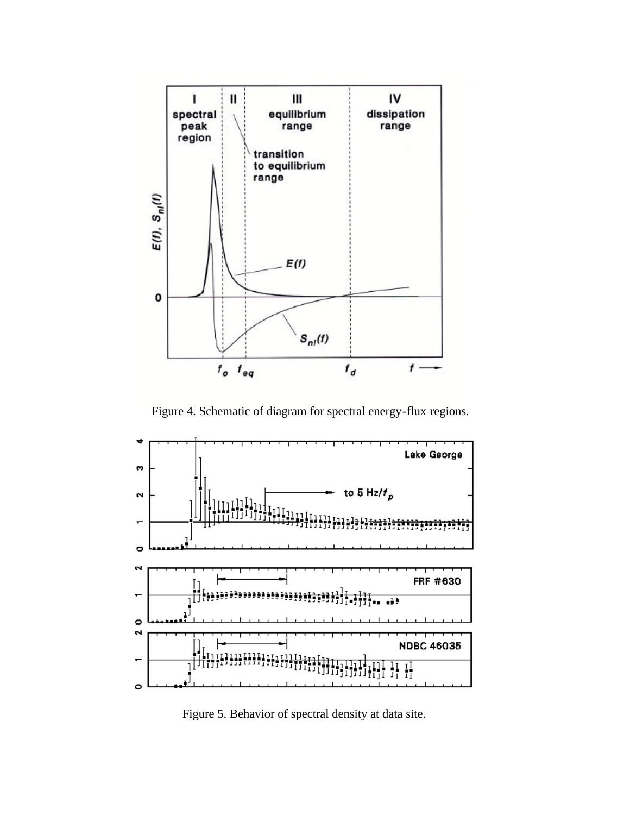

Figure 4. Schematic of diagram for spectral energy-flux regions.



Figure 5. Behavior of spectral density at data site.